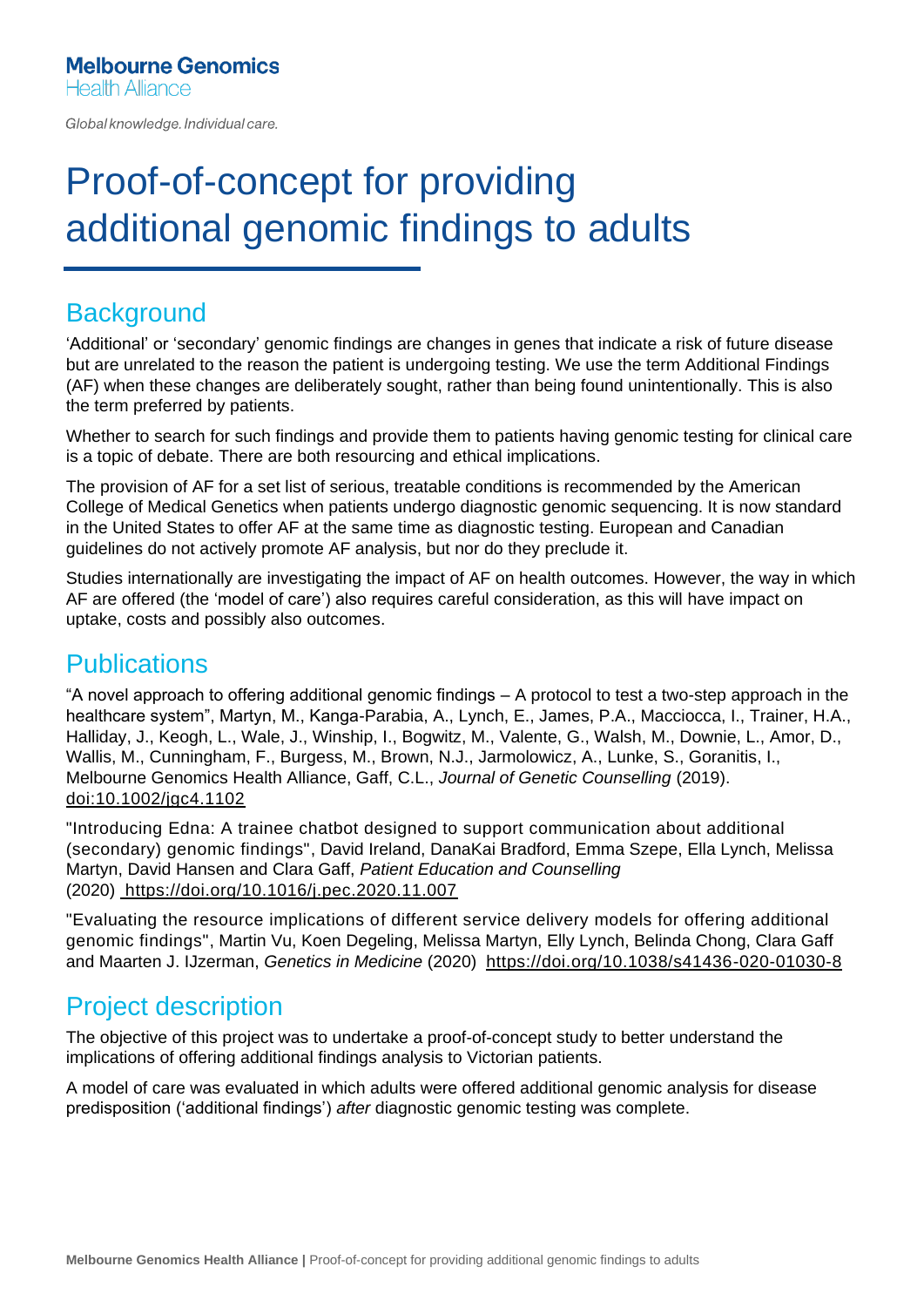Global knowledge. Individual care.

# Proof-of-concept for providing additional genomic findings to adults

#### **Background**

'Additional' or 'secondary' genomic findings are changes in genes that indicate a risk of future disease but are unrelated to the reason the patient is undergoing testing. We use the term Additional Findings (AF) when these changes are deliberately sought, rather than being found unintentionally. This is also the term preferred by patients.

Whether to search for such findings and provide them to patients having genomic testing for clinical care is a topic of debate. There are both resourcing and ethical implications.

The provision of AF for a set list of serious, treatable conditions is recommended by the American College of Medical Genetics when patients undergo diagnostic genomic sequencing. It is now standard in the United States to offer AF at the same time as diagnostic testing. European and Canadian guidelines do not actively promote AF analysis, but nor do they preclude it.

Studies internationally are investigating the impact of AF on health outcomes. However, the way in which AF are offered (the 'model of care') also requires careful consideration, as this will have impact on uptake, costs and possibly also outcomes.

## **Publications**

"A novel approach to offering additional genomic findings – A protocol to test a two-step approach in the healthcare system", Martyn, M., Kanga-Parabia, A., Lynch, E., James, P.A., Macciocca, I., Trainer, H.A., Halliday, J., Keogh, L., Wale, J., Winship, I., Bogwitz, M., Valente, G., Walsh, M., Downie, L., Amor, D., Wallis, M., Cunningham, F., Burgess, M., Brown, N.J., Jarmolowicz, A., Lunke, S., Goranitis, I., Melbourne Genomics Health Alliance, Gaff, C.L., *Journal of Genetic Counselling* (2019). [doi:10.1002/jgc4.1102](https://onlinelibrary.wiley.com/doi/abs/10.1002/jgc4.1102)

"Introducing Edna: A trainee chatbot designed to support communication about additional (secondary) genomic findings", David Ireland, DanaKai Bradford, Emma Szepe, Ella Lynch, Melissa Martyn, David Hansen and Clara Gaff, *Patient Education and Counselling* (2020) <https://doi.org/10.1016/j.pec.2020.11.007>

"Evaluating the resource implications of different service delivery models for offering additional genomic findings", Martin Vu, Koen Degeling, Melissa Martyn, Elly Lynch, Belinda Chong, Clara Gaff and Maarten J. IJzerman, *Genetics in Medicine* (2020) [https://doi.org/10.1038/s41436-020-01030-8](https://www.nature.com/articles/s41436-020-01030-8)

## Project description

The objective of this project was to undertake a proof-of-concept study to better understand the implications of offering additional findings analysis to Victorian patients.

A model of care was evaluated in which adults were offered additional genomic analysis for disease predisposition ('additional findings') *after* diagnostic genomic testing was complete.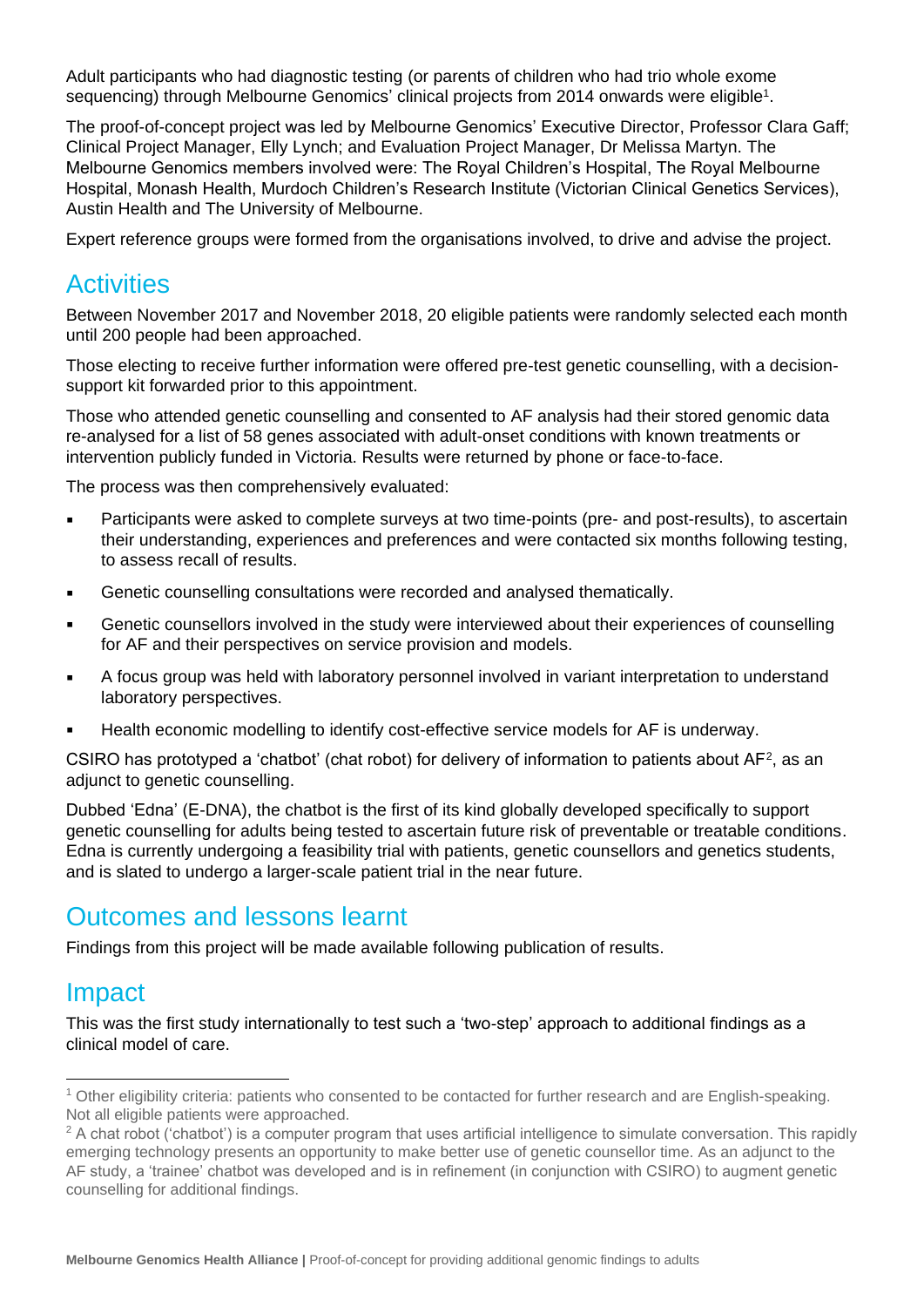Adult participants who had diagnostic testing (or parents of children who had trio whole exome sequencing) through Melbourne Genomics' clinical projects from 2014 onwards were eligible<sup>1</sup>.

The proof-of-concept project was led by Melbourne Genomics' Executive Director, Professor Clara Gaff; Clinical Project Manager, Elly Lynch; and Evaluation Project Manager, Dr Melissa Martyn. The Melbourne Genomics members involved were: The Royal Children's Hospital, The Royal Melbourne Hospital, Monash Health, Murdoch Children's Research Institute (Victorian Clinical Genetics Services), Austin Health and The University of Melbourne.

Expert reference groups were formed from the organisations involved, to drive and advise the project.

#### **Activities**

Between November 2017 and November 2018, 20 eligible patients were randomly selected each month until 200 people had been approached.

Those electing to receive further information were offered pre-test genetic counselling, with a decisionsupport kit forwarded prior to this appointment.

Those who attended genetic counselling and consented to AF analysis had their stored genomic data re-analysed for a list of 58 genes associated with adult-onset conditions with known treatments or intervention publicly funded in Victoria. Results were returned by phone or face-to-face.

The process was then comprehensively evaluated:

- Participants were asked to complete surveys at two time-points (pre- and post-results), to ascertain their understanding, experiences and preferences and were contacted six months following testing, to assess recall of results.
- Genetic counselling consultations were recorded and analysed thematically.
- **EXECT** Genetic counsellors involved in the study were interviewed about their experiences of counselling for AF and their perspectives on service provision and models.
- A focus group was held with laboratory personnel involved in variant interpretation to understand laboratory perspectives.
- Health economic modelling to identify cost-effective service models for AF is underway.

CSIRO has prototyped a 'chatbot' (chat robot) for delivery of information to patients about  $AF^2$ , as an adiunct to genetic counselling.

Dubbed 'Edna' (E-DNA), the chatbot is the first of its kind globally developed specifically to support genetic counselling for adults being tested to ascertain future risk of preventable or treatable conditions. Edna is currently undergoing a feasibility trial with patients, genetic counsellors and genetics students, and is slated to undergo a larger-scale patient trial in the near future.

#### Outcomes and lessons learnt

Findings from this project will be made available following publication of results.

#### Impact

This was the first study internationally to test such a 'two-step' approach to additional findings as a clinical model of care.

<sup>1</sup> Other eligibility criteria: patients who consented to be contacted for further research and are English-speaking. Not all eligible patients were approached.

<sup>&</sup>lt;sup>2</sup> A chat robot ('chatbot') is a computer program that uses artificial intelligence to simulate conversation. This rapidly emerging technology presents an opportunity to make better use of genetic counsellor time. As an adjunct to the AF study, a 'trainee' chatbot was developed and is in refinement (in conjunction with CSIRO) to augment genetic counselling for additional findings.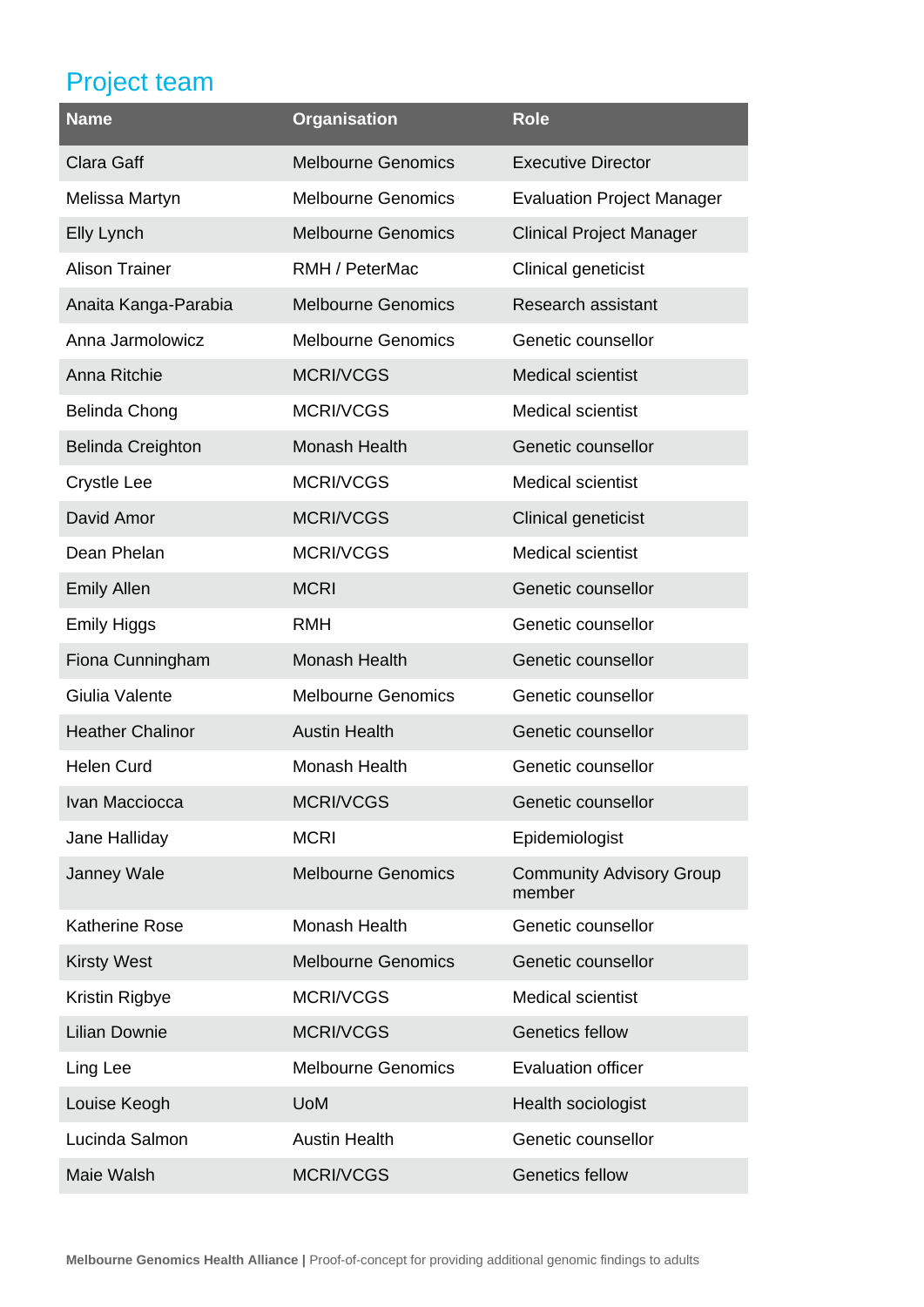# Project team

| <b>Name</b>              | <b>Organisation</b>       | <b>Role</b>                               |
|--------------------------|---------------------------|-------------------------------------------|
| Clara Gaff               | <b>Melbourne Genomics</b> | <b>Executive Director</b>                 |
| Melissa Martyn           | <b>Melbourne Genomics</b> | <b>Evaluation Project Manager</b>         |
| Elly Lynch               | <b>Melbourne Genomics</b> | <b>Clinical Project Manager</b>           |
| <b>Alison Trainer</b>    | RMH / PeterMac            | Clinical geneticist                       |
| Anaita Kanga-Parabia     | <b>Melbourne Genomics</b> | Research assistant                        |
| Anna Jarmolowicz         | <b>Melbourne Genomics</b> | Genetic counsellor                        |
| Anna Ritchie             | <b>MCRI/VCGS</b>          | <b>Medical scientist</b>                  |
| <b>Belinda Chong</b>     | MCRI/VCGS                 | <b>Medical scientist</b>                  |
| <b>Belinda Creighton</b> | Monash Health             | Genetic counsellor                        |
| <b>Crystle Lee</b>       | <b>MCRI/VCGS</b>          | <b>Medical scientist</b>                  |
| David Amor               | <b>MCRI/VCGS</b>          | Clinical geneticist                       |
| Dean Phelan              | <b>MCRI/VCGS</b>          | <b>Medical scientist</b>                  |
| <b>Emily Allen</b>       | <b>MCRI</b>               | Genetic counsellor                        |
| <b>Emily Higgs</b>       | <b>RMH</b>                | Genetic counsellor                        |
| Fiona Cunningham         | Monash Health             | Genetic counsellor                        |
| Giulia Valente           | <b>Melbourne Genomics</b> | Genetic counsellor                        |
| <b>Heather Chalinor</b>  | <b>Austin Health</b>      | Genetic counsellor                        |
| <b>Helen Curd</b>        | Monash Health             | Genetic counsellor                        |
| Ivan Macciocca           | <b>MCRI/VCGS</b>          | Genetic counsellor                        |
| Jane Halliday            | <b>MCRI</b>               | Epidemiologist                            |
| Janney Wale              | <b>Melbourne Genomics</b> | <b>Community Advisory Group</b><br>member |
| <b>Katherine Rose</b>    | Monash Health             | Genetic counsellor                        |
| <b>Kirsty West</b>       | <b>Melbourne Genomics</b> | Genetic counsellor                        |
| Kristin Rigbye           | MCRI/VCGS                 | <b>Medical scientist</b>                  |
| <b>Lilian Downie</b>     | <b>MCRI/VCGS</b>          | <b>Genetics fellow</b>                    |
| Ling Lee                 | <b>Melbourne Genomics</b> | <b>Evaluation officer</b>                 |
| Louise Keogh             | <b>UoM</b>                | Health sociologist                        |
| Lucinda Salmon           | <b>Austin Health</b>      | Genetic counsellor                        |
| Maie Walsh               | <b>MCRI/VCGS</b>          | <b>Genetics fellow</b>                    |